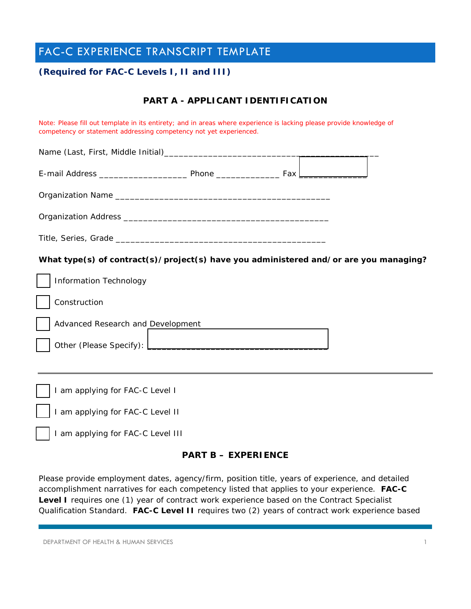# FAC-C EXPERIENCE TRANSCRIPT TEMPLATE

### **(Required for FAC-C Levels I, II and III)**

## **PART A - APPLICANT IDENTIFICATION**

*Note: Please fill out template in its entirety; and in areas where experience is lacking please provide knowledge of competency or statement addressing competency not yet experienced.* 

| What type(s) of contract(s)/project(s) have you administered and/or are you managing? |
|---------------------------------------------------------------------------------------|
| <b>Information Technology</b>                                                         |
| Construction                                                                          |
| Advanced Research and Development                                                     |
|                                                                                       |
|                                                                                       |
| I am applying for FAC-C Level I                                                       |
| I am applying for FAC-C Level II                                                      |

I am applying for FAC-C Level III

#### **PART B – EXPERIENCE**

Please provide employment dates, agency/firm, position title, years of experience, and detailed accomplishment narratives for each competency listed that applies to your experience. **FAC-C Level I** requires *one (1) year* of contract work experience based on the Contract Specialist Qualification Standard. **FAC-C Level II** requires *two (2) years* of contract work experience based

DEPARTMENT OF HEALTH & HUMAN SERVICES 1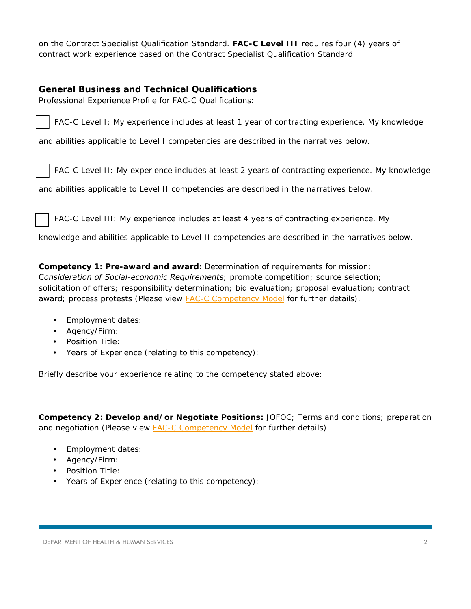on the Contract Specialist Qualification Standard. **FAC-C Level III** requires *four (4) years* of contract work experience based on the Contract Specialist Qualification Standard.

#### **General Business and Technical Qualifications**

*Professional Experience Profile for FAC-C Qualifications:*



FAC-C Level I: My experience includes at least 1 year of contracting experience. My knowledge

and abilities applicable to Level I competencies are described in the narratives below.

FAC-C Level II: My experience includes at least 2 years of contracting experience. My knowledge

and abilities applicable to Level II competencies are described in the narratives below.

FAC-C Level III: My experience includes at least 4 years of contracting experience. My

knowledge and abilities applicable to Level II competencies are described in the narratives below.

**Competency 1: Pre-award and award:** *Determination of requirements for mission; Consideration of Social-economic Requirements; promote competition; source selection; solicitation of offers; responsibility determination; bid evaluation; proposal evaluation; contract award; process protests* (Please view FAC-C Competency Model for further details).

- Employment dates:
- Agency/Firm:
- Position Title:
- Years of Experience (relating to this competency):

Briefly describe your experience relating to the competency stated above:

**Competency 2: Develop and/or Negotiate Positions:** *JOFOC; Terms and conditions; preparation and negotiation* (Please view FAC-C Competency Model for further details).

- Employment dates:
- Agency/Firm:
- Position Title:
- Years of Experience (relating to this competency):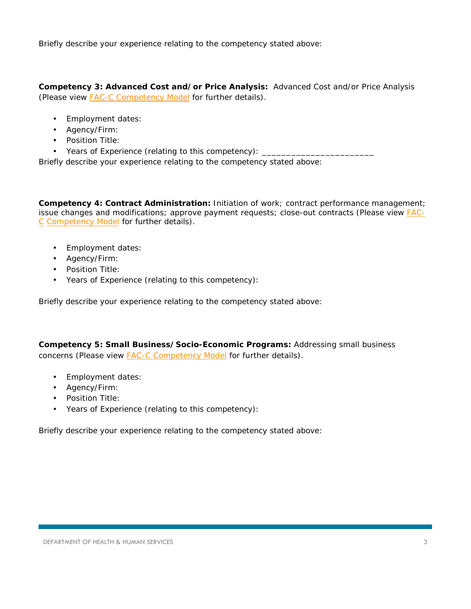Briefly describe your experience relating to the competency stated above:

**Competency 3: Advanced Cost and/or Price Analysis:** *Advanced Cost and/or Price Analysis*  (Please view **FAC-C Competency Model** for further details).

- Employment dates:
- Agency/Firm:
- Position Title:
- Years of Experience (relating to this competency): \_\_\_\_\_\_\_\_\_\_\_\_\_\_\_\_\_\_\_\_\_\_\_\_\_\_\_

Briefly describe your experience relating to the competency stated above:

**Competency 4: Contract Administration:** *Initiation of work; contract performance management; issue changes and modifications; approve payment requests; close-out contracts* (Please view FAC-C Competency Model for further details).

- Employment dates:
- Agency/Firm:
- Position Title:
- Years of Experience (relating to this competency):

Briefly describe your experience relating to the competency stated above:

**Competency 5: Small Business/Socio-Economic Programs:** *Addressing small business concerns* (Please view FAC-C Competency Model for further details).

- Employment dates:
- Agency/Firm:
- Position Title:
- Years of Experience (relating to this competency):

Briefly describe your experience relating to the competency stated above: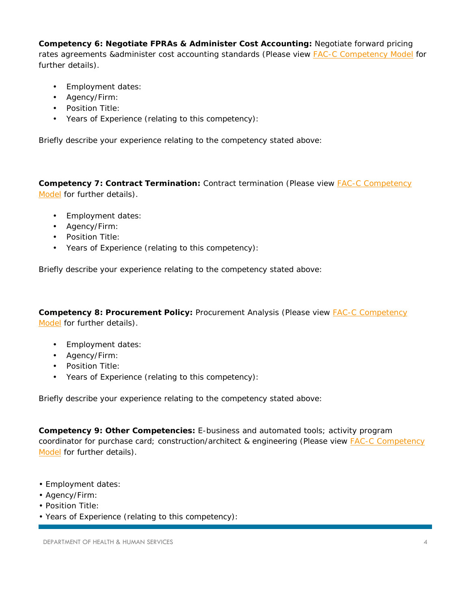**Competency 6: Negotiate FPRAs & Administer Cost Accounting:** *Negotiate forward pricing rates agreements &administer cost accounting standards* (Please view FAC-C Competency Model for further details).

- Employment dates:
- Agency/Firm:
- Position Title:
- Years of Experience (relating to this competency):

Briefly describe your experience relating to the competency stated above:

**Competency 7: Contract Termination:** *Contract termination* (Please view FAC-C Competency Model for further details).

- Employment dates:
- Agency/Firm:
- Position Title:
- Years of Experience (relating to this competency):

Briefly describe your experience relating to the competency stated above:

**Competency 8: Procurement Policy:** Procurement Analysis (Please view **FAC-C Competency** Model for further details).

- Employment dates:
- Agency/Firm:
- Position Title:
- Years of Experience (relating to this competency):

Briefly describe your experience relating to the competency stated above:

**Competency 9: Other Competencies:** *E-business and automated tools; activity program coordinator for purchase card; construction/architect & engineering* (Please view FAC-C Competency Model for further details).

- Employment dates:
- Agency/Firm:
- Position Title:
- Years of Experience (relating to this competency):